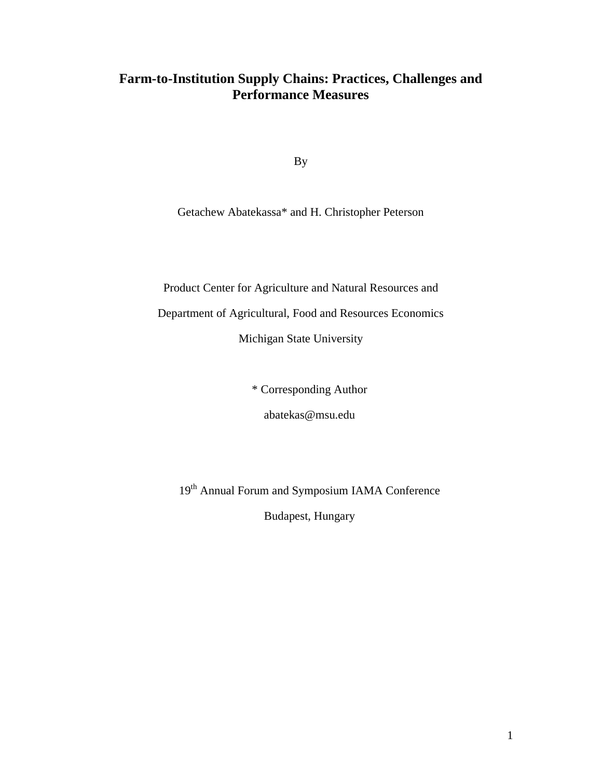# **Farm-to-Institution Supply Chains: Practices, Challenges and Performance Measures**

By

Getachew Abatekassa\* and H. Christopher Peterson

Product Center for Agriculture and Natural Resources and

Department of Agricultural, Food and Resources Economics

Michigan State University

\* Corresponding Author

abatekas@msu.edu

19<sup>th</sup> Annual Forum and Symposium IAMA Conference

Budapest, Hungary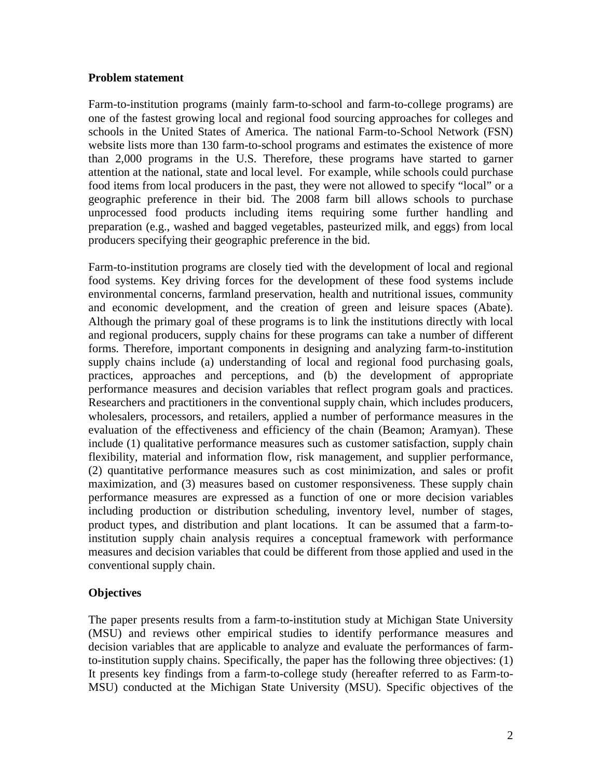#### **Problem statement**

Farm-to-institution programs (mainly farm-to-school and farm-to-college programs) are one of the fastest growing local and regional food sourcing approaches for colleges and schools in the United States of America. The national Farm-to-School Network (FSN) website lists more than 130 farm-to-school programs and estimates the existence of more than 2,000 programs in the U.S. Therefore, these programs have started to garner attention at the national, state and local level. For example, while schools could purchase food items from local producers in the past, they were not allowed to specify "local" or a geographic preference in their bid. The 2008 farm bill allows schools to purchase unprocessed food products including items requiring some further handling and preparation (e.g., washed and bagged vegetables, pasteurized milk, and eggs) from local producers specifying their geographic preference in the bid.

Farm-to-institution programs are closely tied with the development of local and regional food systems. Key driving forces for the development of these food systems include environmental concerns, farmland preservation, health and nutritional issues, community and economic development, and the creation of green and leisure spaces (Abate). Although the primary goal of these programs is to link the institutions directly with local and regional producers, supply chains for these programs can take a number of different forms. Therefore, important components in designing and analyzing farm-to-institution supply chains include (a) understanding of local and regional food purchasing goals, practices, approaches and perceptions, and (b) the development of appropriate performance measures and decision variables that reflect program goals and practices. Researchers and practitioners in the conventional supply chain, which includes producers, wholesalers, processors, and retailers, applied a number of performance measures in the evaluation of the effectiveness and efficiency of the chain (Beamon; Aramyan). These include (1) qualitative performance measures such as customer satisfaction, supply chain flexibility, material and information flow, risk management, and supplier performance, (2) quantitative performance measures such as cost minimization, and sales or profit maximization, and (3) measures based on customer responsiveness. These supply chain performance measures are expressed as a function of one or more decision variables including production or distribution scheduling, inventory level, number of stages, product types, and distribution and plant locations. It can be assumed that a farm-toinstitution supply chain analysis requires a conceptual framework with performance measures and decision variables that could be different from those applied and used in the conventional supply chain.

## **Objectives**

The paper presents results from a farm-to-institution study at Michigan State University (MSU) and reviews other empirical studies to identify performance measures and decision variables that are applicable to analyze and evaluate the performances of farmto-institution supply chains. Specifically, the paper has the following three objectives: (1) It presents key findings from a farm-to-college study (hereafter referred to as Farm-to-MSU) conducted at the Michigan State University (MSU). Specific objectives of the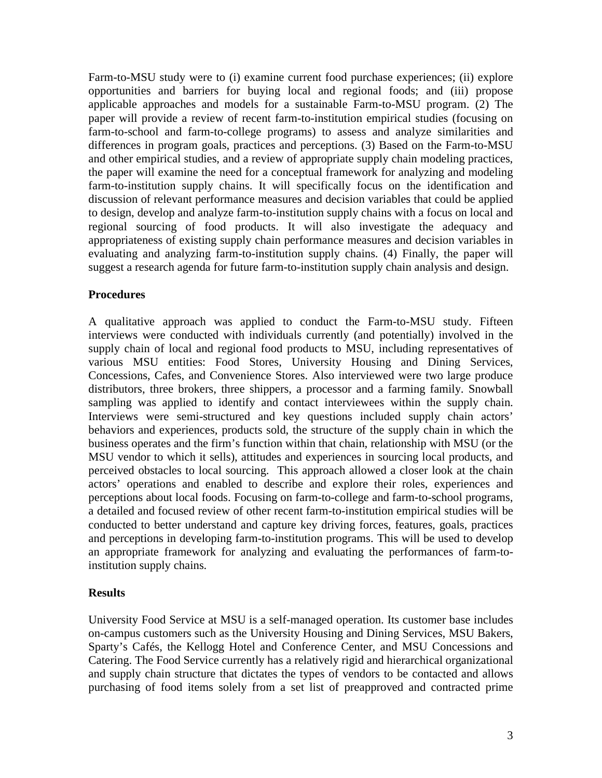Farm-to-MSU study were to (i) examine current food purchase experiences; (ii) explore opportunities and barriers for buying local and regional foods; and (iii) propose applicable approaches and models for a sustainable Farm-to-MSU program. (2) The paper will provide a review of recent farm-to-institution empirical studies (focusing on farm-to-school and farm-to-college programs) to assess and analyze similarities and differences in program goals, practices and perceptions. (3) Based on the Farm-to-MSU and other empirical studies, and a review of appropriate supply chain modeling practices, the paper will examine the need for a conceptual framework for analyzing and modeling farm-to-institution supply chains. It will specifically focus on the identification and discussion of relevant performance measures and decision variables that could be applied to design, develop and analyze farm-to-institution supply chains with a focus on local and regional sourcing of food products. It will also investigate the adequacy and appropriateness of existing supply chain performance measures and decision variables in evaluating and analyzing farm-to-institution supply chains. (4) Finally, the paper will suggest a research agenda for future farm-to-institution supply chain analysis and design.

#### **Procedures**

A qualitative approach was applied to conduct the Farm-to-MSU study. Fifteen interviews were conducted with individuals currently (and potentially) involved in the supply chain of local and regional food products to MSU, including representatives of various MSU entities: Food Stores, University Housing and Dining Services, Concessions, Cafes, and Convenience Stores. Also interviewed were two large produce distributors, three brokers, three shippers, a processor and a farming family. Snowball sampling was applied to identify and contact interviewees within the supply chain. Interviews were semi-structured and key questions included supply chain actors' behaviors and experiences, products sold, the structure of the supply chain in which the business operates and the firm's function within that chain, relationship with MSU (or the MSU vendor to which it sells), attitudes and experiences in sourcing local products, and perceived obstacles to local sourcing. This approach allowed a closer look at the chain actors' operations and enabled to describe and explore their roles, experiences and perceptions about local foods. Focusing on farm-to-college and farm-to-school programs, a detailed and focused review of other recent farm-to-institution empirical studies will be conducted to better understand and capture key driving forces, features, goals, practices and perceptions in developing farm-to-institution programs. This will be used to develop an appropriate framework for analyzing and evaluating the performances of farm-toinstitution supply chains.

#### **Results**

University Food Service at MSU is a self-managed operation. Its customer base includes on-campus customers such as the University Housing and Dining Services, MSU Bakers, Sparty's Cafés, the Kellogg Hotel and Conference Center, and MSU Concessions and Catering. The Food Service currently has a relatively rigid and hierarchical organizational and supply chain structure that dictates the types of vendors to be contacted and allows purchasing of food items solely from a set list of preapproved and contracted prime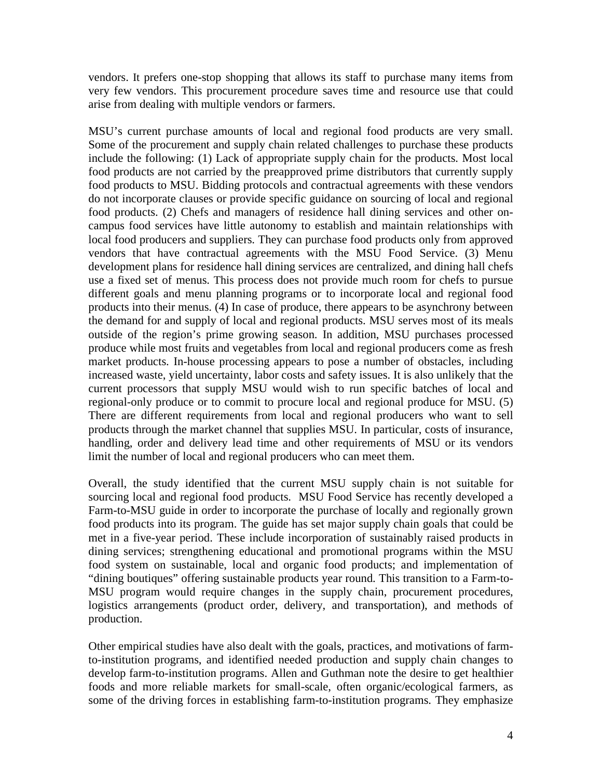vendors. It prefers one-stop shopping that allows its staff to purchase many items from very few vendors. This procurement procedure saves time and resource use that could arise from dealing with multiple vendors or farmers.

MSU's current purchase amounts of local and regional food products are very small. Some of the procurement and supply chain related challenges to purchase these products include the following: (1) Lack of appropriate supply chain for the products. Most local food products are not carried by the preapproved prime distributors that currently supply food products to MSU. Bidding protocols and contractual agreements with these vendors do not incorporate clauses or provide specific guidance on sourcing of local and regional food products. (2) Chefs and managers of residence hall dining services and other oncampus food services have little autonomy to establish and maintain relationships with local food producers and suppliers. They can purchase food products only from approved vendors that have contractual agreements with the MSU Food Service. (3) Menu development plans for residence hall dining services are centralized, and dining hall chefs use a fixed set of menus. This process does not provide much room for chefs to pursue different goals and menu planning programs or to incorporate local and regional food products into their menus. (4) In case of produce, there appears to be asynchrony between the demand for and supply of local and regional products. MSU serves most of its meals outside of the region's prime growing season. In addition, MSU purchases processed produce while most fruits and vegetables from local and regional producers come as fresh market products. In-house processing appears to pose a number of obstacles, including increased waste, yield uncertainty, labor costs and safety issues. It is also unlikely that the current processors that supply MSU would wish to run specific batches of local and regional-only produce or to commit to procure local and regional produce for MSU. (5) There are different requirements from local and regional producers who want to sell products through the market channel that supplies MSU. In particular, costs of insurance, handling, order and delivery lead time and other requirements of MSU or its vendors limit the number of local and regional producers who can meet them.

Overall, the study identified that the current MSU supply chain is not suitable for sourcing local and regional food products. MSU Food Service has recently developed a Farm-to-MSU guide in order to incorporate the purchase of locally and regionally grown food products into its program. The guide has set major supply chain goals that could be met in a five-year period. These include incorporation of sustainably raised products in dining services; strengthening educational and promotional programs within the MSU food system on sustainable, local and organic food products; and implementation of "dining boutiques" offering sustainable products year round. This transition to a Farm-to-MSU program would require changes in the supply chain, procurement procedures, logistics arrangements (product order, delivery, and transportation), and methods of production.

Other empirical studies have also dealt with the goals, practices, and motivations of farmto-institution programs, and identified needed production and supply chain changes to develop farm-to-institution programs. Allen and Guthman note the desire to get healthier foods and more reliable markets for small-scale, often organic/ecological farmers, as some of the driving forces in establishing farm-to-institution programs. They emphasize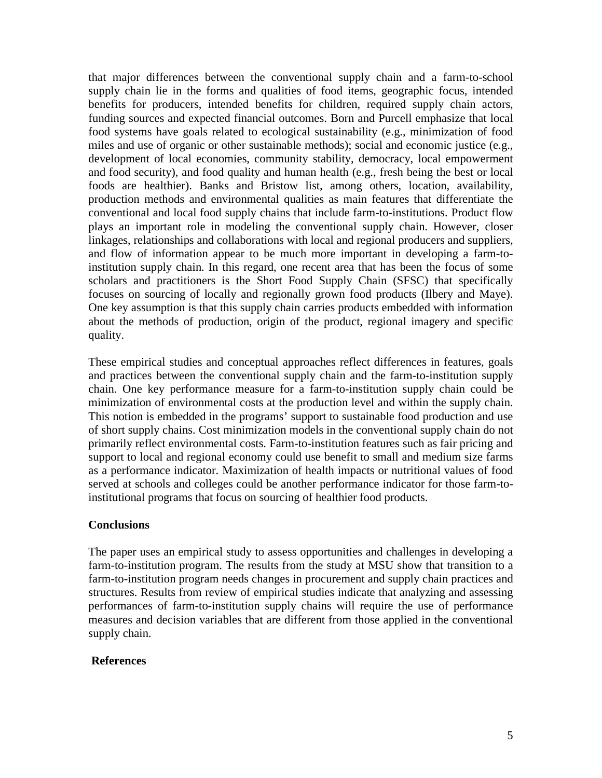that major differences between the conventional supply chain and a farm-to-school supply chain lie in the forms and qualities of food items, geographic focus, intended benefits for producers, intended benefits for children, required supply chain actors, funding sources and expected financial outcomes. Born and Purcell emphasize that local food systems have goals related to ecological sustainability (e.g., minimization of food miles and use of organic or other sustainable methods); social and economic justice (e.g., development of local economies, community stability, democracy, local empowerment and food security), and food quality and human health (e.g., fresh being the best or local foods are healthier). Banks and Bristow list, among others, location, availability, production methods and environmental qualities as main features that differentiate the conventional and local food supply chains that include farm-to-institutions. Product flow plays an important role in modeling the conventional supply chain. However, closer linkages, relationships and collaborations with local and regional producers and suppliers, and flow of information appear to be much more important in developing a farm-toinstitution supply chain. In this regard, one recent area that has been the focus of some scholars and practitioners is the Short Food Supply Chain (SFSC) that specifically focuses on sourcing of locally and regionally grown food products (Ilbery and Maye). One key assumption is that this supply chain carries products embedded with information about the methods of production, origin of the product, regional imagery and specific quality.

These empirical studies and conceptual approaches reflect differences in features, goals and practices between the conventional supply chain and the farm-to-institution supply chain. One key performance measure for a farm-to-institution supply chain could be minimization of environmental costs at the production level and within the supply chain. This notion is embedded in the programs' support to sustainable food production and use of short supply chains. Cost minimization models in the conventional supply chain do not primarily reflect environmental costs. Farm-to-institution features such as fair pricing and support to local and regional economy could use benefit to small and medium size farms as a performance indicator. Maximization of health impacts or nutritional values of food served at schools and colleges could be another performance indicator for those farm-toinstitutional programs that focus on sourcing of healthier food products.

### **Conclusions**

The paper uses an empirical study to assess opportunities and challenges in developing a farm-to-institution program. The results from the study at MSU show that transition to a farm-to-institution program needs changes in procurement and supply chain practices and structures. Results from review of empirical studies indicate that analyzing and assessing performances of farm-to-institution supply chains will require the use of performance measures and decision variables that are different from those applied in the conventional supply chain.

#### **References**